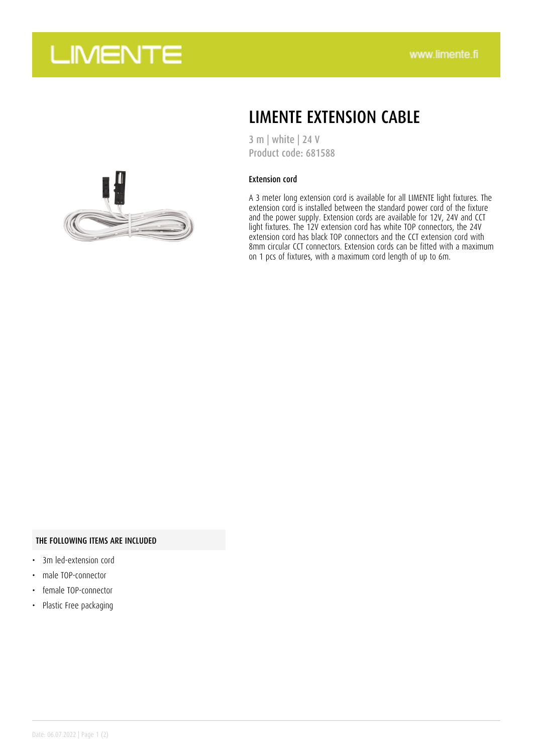



### LIMENTE EXTENSION CABLE

3 m | white | 24 V Product code: 681588

#### Extension cord

A 3 meter long extension cord is available for all LIMENTE light fixtures. The extension cord is installed between the standard power cord of the fixture and the power supply. Extension cords are available for 12V, 24V and CCT light fixtures. The 12V extension cord has white TOP connectors, the 24V extension cord has black TOP connectors and the CCT extension cord with 8mm circular CCT connectors. Extension cords can be fitted with a maximum on 1 pcs of fixtures, with a maximum cord length of up to 6m.

### THE FOLLOWING ITEMS ARE INCLUDED

- 3m led-extension cord
- male TOP-connector
- female TOP-connector
- Plastic Free packaging